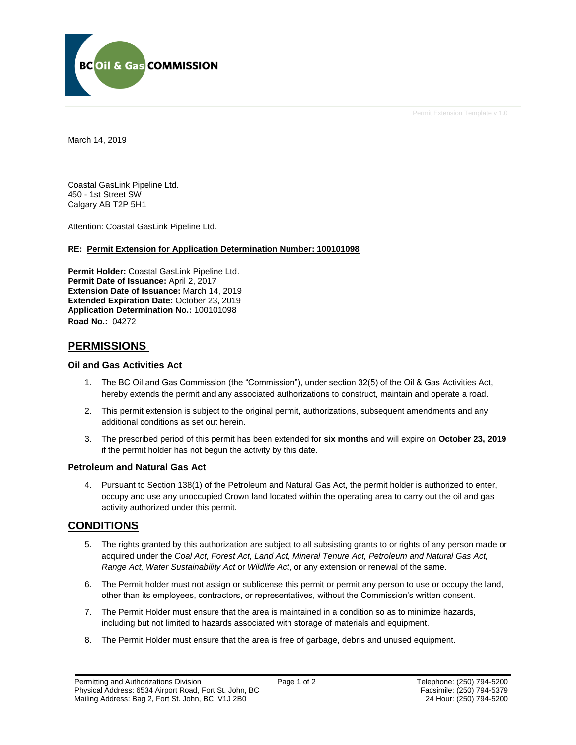

Permit Extension Template v 1.0

March 14, 2019

Coastal GasLink Pipeline Ltd. 450 - 1st Street SW Calgary AB T2P 5H1

Attention: Coastal GasLink Pipeline Ltd.

### **RE: Permit Extension for Application Determination Number: 100101098**

**Permit Holder:** Coastal GasLink Pipeline Ltd. **Permit Date of Issuance:** April 2, 2017 **Extension Date of Issuance:** March 14, 2019 **Extended Expiration Date:** October 23, 2019 **Application Determination No.:** 100101098 **Road No.:** 04272

## **PERMISSIONS**

#### **Oil and Gas Activities Act**

- 1. The BC Oil and Gas Commission (the "Commission"), under section 32(5) of the Oil & Gas Activities Act, hereby extends the permit and any associated authorizations to construct, maintain and operate a road.
- 2. This permit extension is subject to the original permit, authorizations, subsequent amendments and any additional conditions as set out herein.
- 3. The prescribed period of this permit has been extended for **six months** and will expire on **October 23, 2019** if the permit holder has not begun the activity by this date.

### **Petroleum and Natural Gas Act**

4. Pursuant to Section 138(1) of the Petroleum and Natural Gas Act, the permit holder is authorized to enter, occupy and use any unoccupied Crown land located within the operating area to carry out the oil and gas activity authorized under this permit.

## **CONDITIONS**

- 5. The rights granted by this authorization are subject to all subsisting grants to or rights of any person made or acquired under the *Coal Act, Forest Act, Land Act, Mineral Tenure Act, Petroleum and Natural Gas Act, Range Act, Water Sustainability Act* or *Wildlife Act*, or any extension or renewal of the same.
- 6. The Permit holder must not assign or sublicense this permit or permit any person to use or occupy the land, other than its employees, contractors, or representatives, without the Commission's written consent.
- 7. The Permit Holder must ensure that the area is maintained in a condition so as to minimize hazards, including but not limited to hazards associated with storage of materials and equipment.
- 8. The Permit Holder must ensure that the area is free of garbage, debris and unused equipment.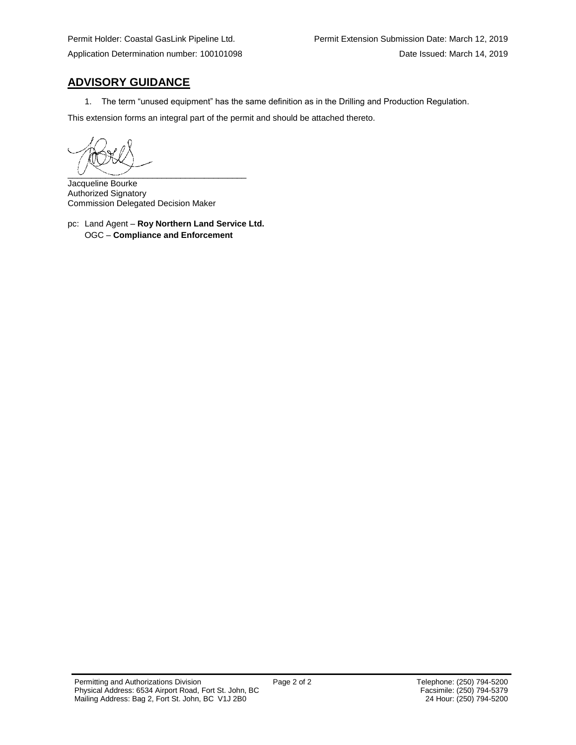# **ADVISORY GUIDANCE**

1. The term "unused equipment" has the same definition as in the Drilling and Production Regulation.

This extension forms an integral part of the permit and should be attached thereto.

 $\overline{\phantom{a}}$ 

Jacqueline Bourke Authorized Signatory Commission Delegated Decision Maker

pc: Land Agent – **Roy Northern Land Service Ltd.** OGC – **Compliance and Enforcement**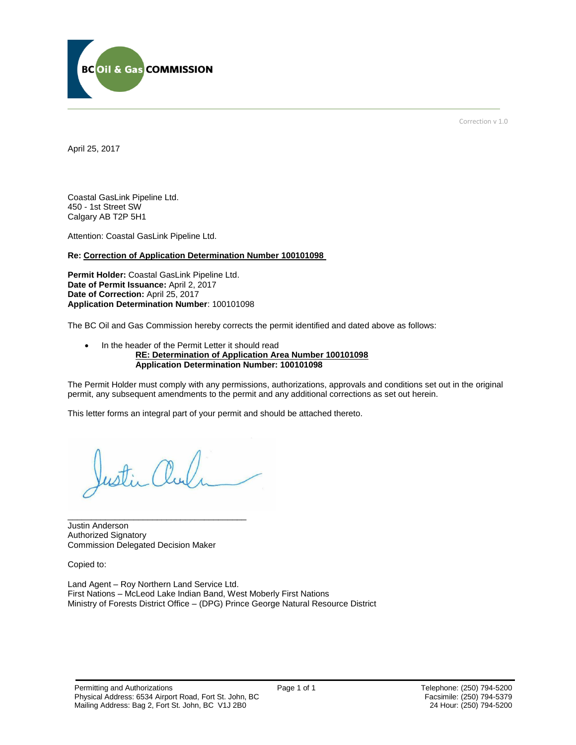

Correction v 1.0

April 25, 2017

Coastal GasLink Pipeline Ltd. 450 - 1st Street SW Calgary AB T2P 5H1

Attention: Coastal GasLink Pipeline Ltd.

#### **Re: Correction of Application Determination Number 100101098**

**Permit Holder:** Coastal GasLink Pipeline Ltd. **Date of Permit Issuance:** April 2, 2017 **Date of Correction:** April 25, 2017 **Application Determination Number**: 100101098

The BC Oil and Gas Commission hereby corrects the permit identified and dated above as follows:

#### • In the header of the Permit Letter it should read **RE: Determination of Application Area Number 100101098 Application Determination Number: 100101098**

The Permit Holder must comply with any permissions, authorizations, approvals and conditions set out in the original permit, any subsequent amendments to the permit and any additional corrections as set out herein.

This letter forms an integral part of your permit and should be attached thereto.

Justin Anderson Authorized Signatory Commission Delegated Decision Maker

\_\_\_\_\_\_\_\_\_\_\_\_\_\_\_\_\_\_\_\_\_\_\_\_\_\_\_\_\_\_\_\_\_\_\_\_\_\_

Copied to:

Land Agent – Roy Northern Land Service Ltd. First Nations – McLeod Lake Indian Band, West Moberly First Nations Ministry of Forests District Office – (DPG) Prince George Natural Resource District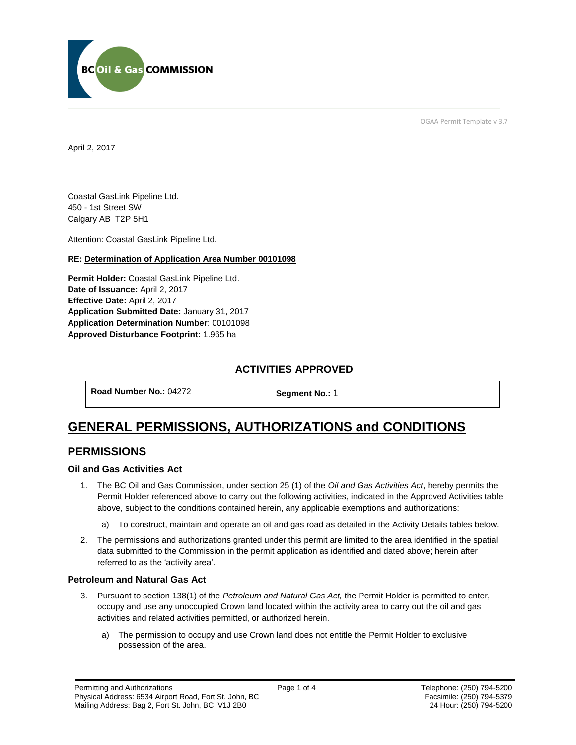

OGAA Permit Template v 3.7

April 2, 2017

Coastal GasLink Pipeline Ltd. 450 - 1st Street SW Calgary AB T2P 5H1

[Attention:](#page-3-0) Coastal GasLink Pipeline Ltd.

### **RE: Determination of Application Area Number 00101098**

**[Permit Holder:](#page-3-0)** Coastal GasLink Pipeline Ltd. **[Date of Issuance:](#page-3-0)** April 2, 2017 **[Effective Date:](#page-3-1)** April 2, 2017 **[Application Submitted Date:](#page-3-0)** January 31, 2017 **[Application Determination Number](#page-3-0)**: 00101098 **Approved Disturbance Footprint:** 1.965 ha

## **ACTIVITIES APPROVED**

**[Road Number No.:](#page-3-0) 04272 [Segment No.:](https://bi.bcogc.ca/Application%20Processing/Interactive%20Reports/(BIL-041)%20AMS%20Decision%20Summary.aspx) 1** 

# **GENERAL PERMISSIONS, AUTHORIZATIONS and CONDITIONS**

## **PERMISSIONS**

### **Oil and Gas Activities Act**

- <span id="page-3-0"></span>1. The BC Oil and Gas Commission, under section 25 (1) of the *Oil and Gas Activities Act*, hereby permits the Permit Holder referenced above to carry out the following activities, indicated in the Approved Activities table above, subject to the conditions contained herein, any applicable exemptions and authorizations:
	- a) To construct, maintain and operate an oil and gas road as detailed in the Activity Details tables below.
- <span id="page-3-1"></span>2. The permissions and authorizations granted under this permit are limited to the area identified in the spatial data submitted to the Commission in the permit application as identified and dated above; herein after referred to as the 'activity area'.

### **Petroleum and Natural Gas Act**

- 3. Pursuant to section 138(1) of the *Petroleum and Natural Gas Act,* the Permit Holder is permitted to enter, occupy and use any unoccupied Crown land located within the activity area to carry out the oil and gas activities and related activities permitted, or authorized herein.
	- a) The permission to occupy and use Crown land does not entitle the Permit Holder to exclusive possession of the area.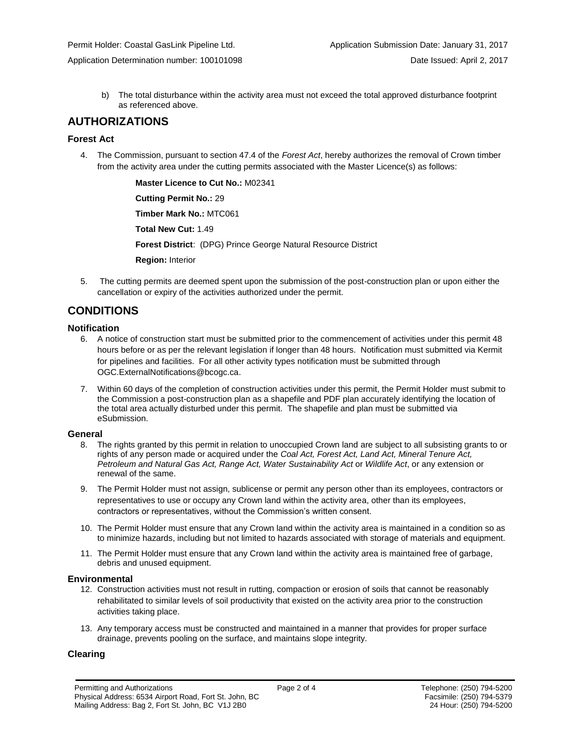b) The total disturbance within the activity area must not exceed the total approved disturbance footprint as referenced above.

## **AUTHORIZATIONS**

### **Forest Act**

4. The Commission, pursuant to section 47.4 of the *Forest Act*, hereby authorizes the removal of Crown timber from the activity area under the cutting permits associated with the Master Licence(s) as follows:

> **[Master Licence to Cut No.:](#page-3-0)** M02341 **[Cutting Permit No.:](#page-3-0)** 29 **[Timber Mark No.:](#page-3-0)** MTC061 **[Total New Cut:](#page-3-0)** 1.49 **[Forest District](https://ams-crd.bcogc.ca/crd/)**: (DPG) Prince George Natural Resource District **[Region:](#page-3-1)** Interior

5. The cutting permits are deemed spent upon the submission of the post-construction plan or upon either the cancellation or expiry of the activities authorized under the permit.

# **CONDITIONS**

### **Notification**

- 6. A notice of construction start must be submitted prior to the commencement of activities under this permit 48 hours before or as per the relevant legislation if longer than 48 hours. Notification must submitted via Kermit for pipelines and facilities. For all other activity types notification must be submitted through [OGC.ExternalNotifications@bcogc.ca.](mailto:OGC.ExternalNotifications@bcogc.ca)
- 7. Within 60 days of the completion of construction activities under this permit, the Permit Holder must submit to the Commission a post-construction plan as a shapefile and PDF plan accurately identifying the location of the total area actually disturbed under this permit. The shapefile and plan must be submitted via eSubmission.

### **General**

- 8. The rights granted by this permit in relation to unoccupied Crown land are subject to all subsisting grants to or rights of any person made or acquired under the *Coal Act, Forest Act, Land Act, Mineral Tenure Act, Petroleum and Natural Gas Act, Range Act, Water Sustainability Act* or *Wildlife Act*, or any extension or renewal of the same.
- 9. The Permit Holder must not assign, sublicense or permit any person other than its employees, contractors or representatives to use or occupy any Crown land within the activity area, other than its employees, contractors or representatives, without the Commission's written consent.
- 10. The Permit Holder must ensure that any Crown land within the activity area is maintained in a condition so as to minimize hazards, including but not limited to hazards associated with storage of materials and equipment.
- 11. The Permit Holder must ensure that any Crown land within the activity area is maintained free of garbage, debris and unused equipment.

### **Environmental**

- 12. Construction activities must not result in rutting, compaction or erosion of soils that cannot be reasonably rehabilitated to similar levels of soil productivity that existed on the activity area prior to the construction activities taking place.
- 13. Any temporary access must be constructed and maintained in a manner that provides for proper surface drainage, prevents pooling on the surface, and maintains slope integrity.

### **Clearing**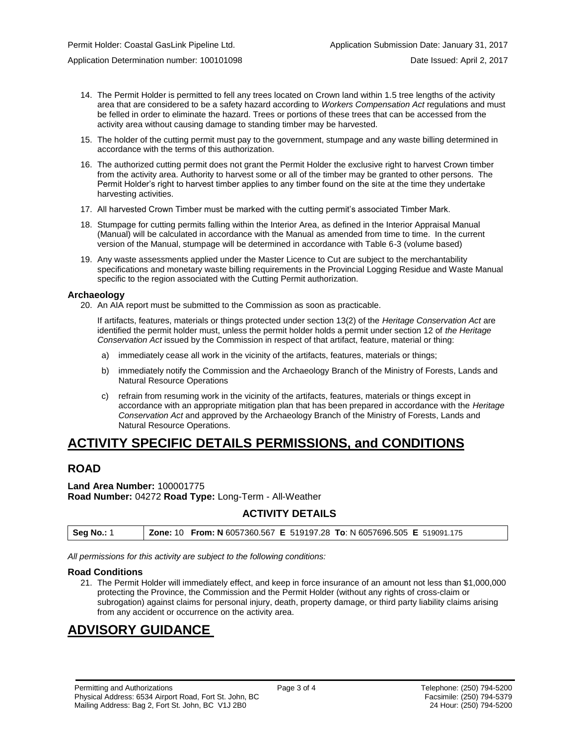Application Determination number: 100101098 Date Issued: April 2, 2017

- 14. The Permit Holder is permitted to fell any trees located on Crown land within 1.5 tree lengths of the activity area that are considered to be a safety hazard according to *Workers Compensation Act* regulations and must be felled in order to eliminate the hazard. Trees or portions of these trees that can be accessed from the activity area without causing damage to standing timber may be harvested.
- 15. The holder of the cutting permit must pay to the government, stumpage and any waste billing determined in accordance with the terms of this authorization.
- 16. The authorized cutting permit does not grant the Permit Holder the exclusive right to harvest Crown timber from the activity area. Authority to harvest some or all of the timber may be granted to other persons. The Permit Holder's right to harvest timber applies to any timber found on the site at the time they undertake harvesting activities.
- 17. All harvested Crown Timber must be marked with the cutting permit's associated Timber Mark.
- 18. Stumpage for cutting permits falling within the Interior Area, as defined in the Interior Appraisal Manual (Manual) will be calculated in accordance with the Manual as amended from time to time. In the current version of the Manual, stumpage will be determined in accordance with Table 6-3 (volume based)
- 19. Any waste assessments applied under the Master Licence to Cut are subject to the merchantability specifications and monetary waste billing requirements in the Provincial Logging Residue and Waste Manual specific to the region associated with the Cutting Permit authorization.

#### **Archaeology**

20. An AIA report must be submitted to the Commission as soon as practicable.

If artifacts, features, materials or things protected under section 13(2) of the *Heritage Conservation Act* are identified the permit holder must, unless the permit holder holds a permit under section 12 of *the Heritage Conservation Act* issued by the Commission in respect of that artifact, feature, material or thing:

- a) immediately cease all work in the vicinity of the artifacts, features, materials or things;
- b) immediately notify the Commission and the Archaeology Branch of the Ministry of Forests, Lands and Natural Resource Operations
- c) refrain from resuming work in the vicinity of the artifacts, features, materials or things except in accordance with an appropriate mitigation plan that has been prepared in accordance with the *Heritage Conservation Act* and approved by the Archaeology Branch of the Ministry of Forests, Lands and Natural Resource Operations.

# **ACTIVITY SPECIFIC DETAILS PERMISSIONS, and CONDITIONS**

## **ROAD**

**Land Area Number:** 100001775 **Road Number:** 04272 **Road Type:** Long-Term - All-Weather

## **ACTIVITY DETAILS**

| <b>Seg No.: 1</b> | <b>Zone: 10 From: N 6057360.567 E 519197.28 To: N 6057696.505 E 519091.175</b> |
|-------------------|--------------------------------------------------------------------------------|

*All permissions for this activity are subject to the following conditions:*

#### **Road Conditions**

21. The Permit Holder will immediately effect, and keep in force insurance of an amount not less than \$1,000,000 protecting the Province, the Commission and the Permit Holder (without any rights of cross-claim or subrogation) against claims for personal injury, death, property damage, or third party liability claims arising from any accident or occurrence on the activity area.

# **ADVISORY GUIDANCE**